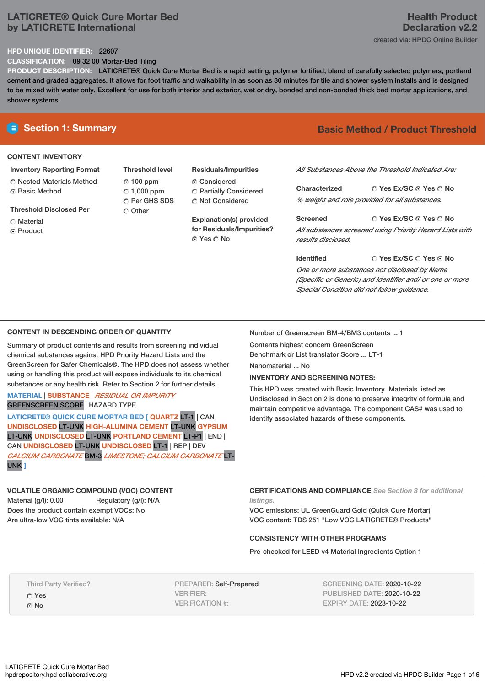## **LATICRETE® Quick Cure Mortar Bed by LATICRETE International**

#### **HPD UNIQUE IDENTIFIER:** 22607

**CLASSIFICATION:** 09 32 00 Mortar-Bed Tiling

**PRODUCT DESCRIPTION:** LATICRETE® Quick Cure Mortar Bed is a rapid setting, polymer fortified, blend of carefully selected polymers, portland cement and graded aggregates. It allows for foot traffic and walkability in as soon as 30 minutes for tile and shower system installs and is designed to be mixed with water only. Excellent for use for both interior and exterior, wet or dry, bonded and non-bonded thick bed mortar applications, and shower systems.

#### **CONTENT INVENTORY**

- **Inventory Reporting Format** Nested Materials Method
- **G** Basic Method
- **Threshold Disclosed Per**
- Material
- **C** Product
- **Threshold level** 100 ppm  $\degree$  1,000 ppm C Per GHS SDS Other
- **Residuals/Impurities** Considered Partially Considered
- $\bigcirc$  Not Considered **Explanation(s) provided**

**for Residuals/Impurities?** Yes No

# **E** Section 1: Summary **Basic Method /** Product Threshold

*All Substances Above the Threshold Indicated Are:*

**Yes Ex/SC Yes No Characterized** *% weight and role provided for all substances.*

**Yes Ex/SC Yes No Screened** *All substances screened using Priority Hazard Lists with results disclosed.*

**Yes Ex/SC Yes No Identified** *One or more substances not disclosed by Name (Specific or Generic) and Identifier and/ or one or more Special Condition did not follow guidance.*

### **CONTENT IN DESCENDING ORDER OF QUANTITY**

Summary of product contents and results from screening individual chemical substances against HPD Priority Hazard Lists and the GreenScreen for Safer Chemicals®. The HPD does not assess whether using or handling this product will expose individuals to its chemical substances or any health risk. Refer to Section 2 for further details.

**MATERIAL** | **SUBSTANCE** | *RESIDUAL OR IMPURITY* GREENSCREEN SCORE | HAZARD TYPE

**LATICRETE® QUICK CURE MORTAR BED [ QUARTZ** LT-1 | CAN **UNDISCLOSED** LT-UNK **HIGH-ALUMINA CEMENT** LT-UNK **GYPSUM** LT-UNK **UNDISCLOSED** LT-UNK **PORTLAND CEMENT** LT-P1 | END | CAN **UNDISCLOSED** LT-UNK **UNDISCLOSED** LT-1 | REP | DEV *CALCIUM CARBONATE* BM-3 *LIMESTONE; CALCIUM CARBONATE* LT-UNK **]**

# **VOLATILE ORGANIC COMPOUND (VOC) CONTENT**

Material (g/l): 0.00 Regulatory (g/l): N/A Does the product contain exempt VOCs: No Are ultra-low VOC tints available: N/A

Number of Greenscreen BM-4/BM3 contents ... 1

Contents highest concern GreenScreen Benchmark or List translator Score ... LT-1

Nanomaterial No

### **INVENTORY AND SCREENING NOTES:**

This HPD was created with Basic Inventory. Materials listed as Undisclosed in Section 2 is done to preserve integrity of formula and maintain competitive advantage. The component CAS# was used to identify associated hazards of these components.

**CERTIFICATIONS AND COMPLIANCE** *See Section 3 for additional listings.*

VOC emissions: UL GreenGuard Gold (Quick Cure Mortar) VOC content: TDS 251 "Low VOC LATICRETE® Products"

### **CONSISTENCY WITH OTHER PROGRAMS**

Pre-checked for LEED v4 Material Ingredients Option 1

Third Party Verified? Yes © No

PREPARER: Self-Prepared VERIFIER: VERIFICATION #:

SCREENING DATE: 2020-10-22 PUBLISHED DATE: 2020-10-22 EXPIRY DATE: 2023-10-22

## **Health Product Declaration v2.2** created via: HPDC Online Builder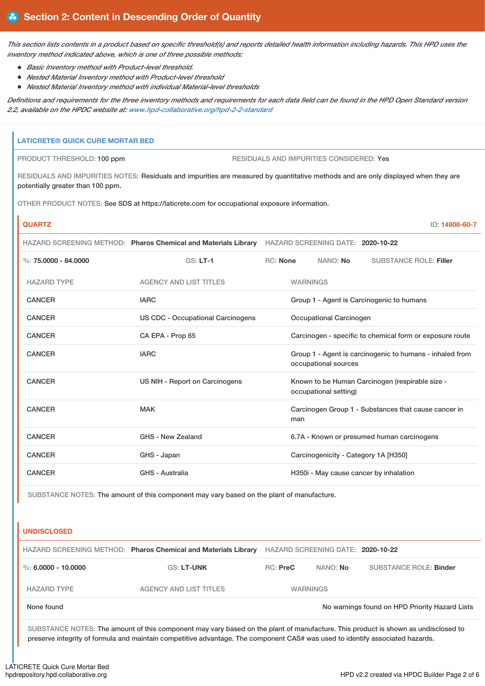This section lists contents in a product based on specific threshold(s) and reports detailed health information including hazards. This HPD uses the *inventory method indicated above, which is one of three possible methods:*

- *Basic Inventory method with Product-level threshold.*
- *Nested Material Inventory method with Product-level threshold*
- *Nested Material Inventory method with individual Material-level thresholds*

Definitions and requirements for the three inventory methods and requirements for each data field can be found in the HPD Open Standard version *2.2, available on the HPDC website at: [www.hpd-collaborative.org/hpd-2-2-standard](https://www.hpd-collaborative.org/hpd-2-2-standard)*

# **LATICRETE® QUICK CURE MORTAR BED** PRODUCT THRESHOLD: 100 ppm RESIDUALS AND IMPURITIES CONSIDERED: Yes RESIDUALS AND IMPURITIES NOTES: Residuals and impurities are measured by quantitative methods and are only displayed when they are potentially greater than 100 ppm. OTHER PRODUCT NOTES: See SDS at https://laticrete.com for occupational exposure information. **QUARTZ** ID: **14808-60-7** HAZARD SCREENING METHOD: **Pharos Chemical and Materials Library** HAZARD SCREENING DATE: **2020-10-22** %: **75.0000 - 84.0000** GS: **LT-1** RC: **None** NANO: **No** SUBSTANCE ROLE: **Filler** HAZARD TYPE AGENCY AND LIST TITLES WARNINGS CANCER **IARC** IARC **GROUP 1** - Agent is Carcinogenic to humans CANCER US CDC - Occupational Carcinogens Occupational Carcinogen CANCER CA EPA - Prop 65 Carcinogen - specific to chemical form or exposure route CANCER **IARC** IARC **GROUP 1** - Agent is carcinogenic to humans - inhaled from occupational sources CANCER **EXAMCER** US NIH - Report on Carcinogens Known to be Human Carcinogen (respirable size occupational setting) CANCER MAK MAK Carcinogen Group 1 - Substances that cause cancer in man CANCER GHS - New Zealand 6.7A - Known or presumed human carcinogens CANCER GHS - Japan Carcinogenicity - Category 1A [H350] CANCER GHS - Australia GHS - Australia H350i - May cause cancer by inhalation

SUBSTANCE NOTES: The amount of this component may vary based on the plant of manufacture.

### **UNDISCLOSED**

|                                                              | HAZARD SCREENING METHOD: Pharos Chemical and Materials Library |               | HAZARD SCREENING DATE: 2020-10-22 |                        |
|--------------------------------------------------------------|----------------------------------------------------------------|---------------|-----------------------------------|------------------------|
| %: 6.0000 - 10.0000                                          | <b>GS: LT-UNK</b>                                              | $RC:$ Pre $C$ | NANO: <b>No</b>                   | SUBSTANCE ROLE: Binder |
| <b>HAZARD TYPE</b>                                           | <b>AGENCY AND LIST TITLES</b>                                  |               | <b>WARNINGS</b>                   |                        |
| No warnings found on HPD Priority Hazard Lists<br>None found |                                                                |               |                                   |                        |

SUBSTANCE NOTES: The amount of this component may vary based on the plant of manufacture. This product is shown as undisclosed to preserve integrity of formula and maintain competitive advantage. The component CAS# was used to identify associated hazards.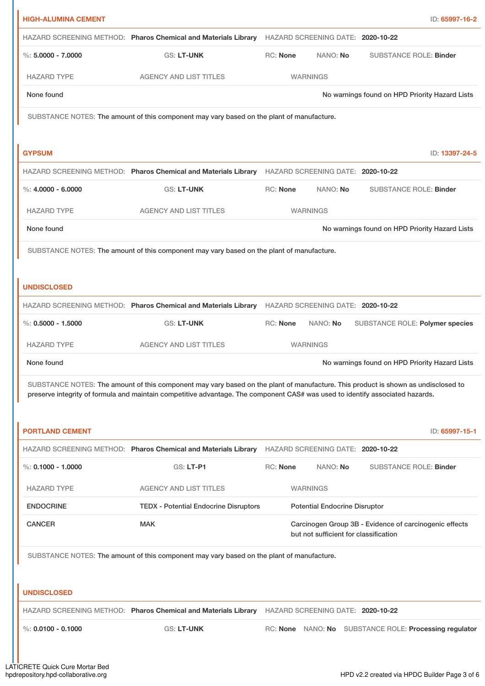| HAZARD SCREENING METHOD: Pharos Chemical and Materials Library<br>HAZARD SCREENING DATE: 2020-10-22<br>$\%$ : 5.0000 - 7.0000<br>RC: None<br>NANO: No<br>GS: LT-UNK<br><b>AGENCY AND LIST TITLES</b><br><b>WARNINGS</b><br><b>HAZARD TYPE</b><br>None found<br>No warnings found on HPD Priority Hazard Lists<br>SUBSTANCE NOTES: The amount of this component may vary based on the plant of manufacture.<br><b>GYPSUM</b><br>HAZARD SCREENING METHOD: Pharos Chemical and Materials Library<br>HAZARD SCREENING DATE: 2020-10-22<br>$\%: 4.0000 - 6.0000$<br><b>GS: LT-UNK</b><br>RC: None<br>NANO: No<br><b>HAZARD TYPE</b><br><b>AGENCY AND LIST TITLES</b><br><b>WARNINGS</b><br>None found<br>SUBSTANCE NOTES: The amount of this component may vary based on the plant of manufacture.<br><b>UNDISCLOSED</b><br>HAZARD SCREENING METHOD: Pharos Chemical and Materials Library<br>HAZARD SCREENING DATE: 2020-10-22<br>$\%$ : 0.5000 - 1.5000<br>RC: None<br>NANO: No<br><b>GS: LT-UNK</b><br><b>HAZARD TYPE</b><br><b>AGENCY AND LIST TITLES</b><br><b>WARNINGS</b><br>None found<br>No warnings found on HPD Priority Hazard Lists<br>preserve integrity of formula and maintain competitive advantage. The component CAS# was used to identify associated hazards.<br><b>PORTLAND CEMENT</b><br>HAZARD SCREENING METHOD: Pharos Chemical and Materials Library HAZARD SCREENING DATE: 2020-10-22<br>$\%$ : 0.1000 - 1.0000<br><b>GS: LT-P1</b><br>RC: None<br>NANO: No<br><b>HAZARD TYPE</b><br><b>AGENCY AND LIST TITLES</b><br><b>WARNINGS</b><br><b>ENDOCRINE</b><br><b>TEDX - Potential Endocrine Disruptors</b><br><b>Potential Endocrine Disruptor</b><br><b>CANCER</b><br><b>MAK</b><br>Carcinogen Group 3B - Evidence of carcinogenic effects<br>but not sufficient for classification<br>SUBSTANCE NOTES: The amount of this component may vary based on the plant of manufacture.<br><b>UNDISCLOSED</b><br>HAZARD SCREENING METHOD: Pharos Chemical and Materials Library HAZARD SCREENING DATE: 2020-10-22 | <b>HIGH-ALUMINA CEMENT</b>                                                                                                        |  |  | ID: 65997-16-2                                 |  |
|---------------------------------------------------------------------------------------------------------------------------------------------------------------------------------------------------------------------------------------------------------------------------------------------------------------------------------------------------------------------------------------------------------------------------------------------------------------------------------------------------------------------------------------------------------------------------------------------------------------------------------------------------------------------------------------------------------------------------------------------------------------------------------------------------------------------------------------------------------------------------------------------------------------------------------------------------------------------------------------------------------------------------------------------------------------------------------------------------------------------------------------------------------------------------------------------------------------------------------------------------------------------------------------------------------------------------------------------------------------------------------------------------------------------------------------------------------------------------------------------------------------------------------------------------------------------------------------------------------------------------------------------------------------------------------------------------------------------------------------------------------------------------------------------------------------------------------------------------------------------------------------------------------------------------------------------------------------------------------------------------------------------------------|-----------------------------------------------------------------------------------------------------------------------------------|--|--|------------------------------------------------|--|
|                                                                                                                                                                                                                                                                                                                                                                                                                                                                                                                                                                                                                                                                                                                                                                                                                                                                                                                                                                                                                                                                                                                                                                                                                                                                                                                                                                                                                                                                                                                                                                                                                                                                                                                                                                                                                                                                                                                                                                                                                                 |                                                                                                                                   |  |  |                                                |  |
|                                                                                                                                                                                                                                                                                                                                                                                                                                                                                                                                                                                                                                                                                                                                                                                                                                                                                                                                                                                                                                                                                                                                                                                                                                                                                                                                                                                                                                                                                                                                                                                                                                                                                                                                                                                                                                                                                                                                                                                                                                 |                                                                                                                                   |  |  | <b>SUBSTANCE ROLE: Binder</b>                  |  |
|                                                                                                                                                                                                                                                                                                                                                                                                                                                                                                                                                                                                                                                                                                                                                                                                                                                                                                                                                                                                                                                                                                                                                                                                                                                                                                                                                                                                                                                                                                                                                                                                                                                                                                                                                                                                                                                                                                                                                                                                                                 |                                                                                                                                   |  |  |                                                |  |
|                                                                                                                                                                                                                                                                                                                                                                                                                                                                                                                                                                                                                                                                                                                                                                                                                                                                                                                                                                                                                                                                                                                                                                                                                                                                                                                                                                                                                                                                                                                                                                                                                                                                                                                                                                                                                                                                                                                                                                                                                                 |                                                                                                                                   |  |  |                                                |  |
|                                                                                                                                                                                                                                                                                                                                                                                                                                                                                                                                                                                                                                                                                                                                                                                                                                                                                                                                                                                                                                                                                                                                                                                                                                                                                                                                                                                                                                                                                                                                                                                                                                                                                                                                                                                                                                                                                                                                                                                                                                 |                                                                                                                                   |  |  |                                                |  |
|                                                                                                                                                                                                                                                                                                                                                                                                                                                                                                                                                                                                                                                                                                                                                                                                                                                                                                                                                                                                                                                                                                                                                                                                                                                                                                                                                                                                                                                                                                                                                                                                                                                                                                                                                                                                                                                                                                                                                                                                                                 |                                                                                                                                   |  |  |                                                |  |
|                                                                                                                                                                                                                                                                                                                                                                                                                                                                                                                                                                                                                                                                                                                                                                                                                                                                                                                                                                                                                                                                                                                                                                                                                                                                                                                                                                                                                                                                                                                                                                                                                                                                                                                                                                                                                                                                                                                                                                                                                                 |                                                                                                                                   |  |  | ID: 13397-24-5                                 |  |
|                                                                                                                                                                                                                                                                                                                                                                                                                                                                                                                                                                                                                                                                                                                                                                                                                                                                                                                                                                                                                                                                                                                                                                                                                                                                                                                                                                                                                                                                                                                                                                                                                                                                                                                                                                                                                                                                                                                                                                                                                                 |                                                                                                                                   |  |  |                                                |  |
|                                                                                                                                                                                                                                                                                                                                                                                                                                                                                                                                                                                                                                                                                                                                                                                                                                                                                                                                                                                                                                                                                                                                                                                                                                                                                                                                                                                                                                                                                                                                                                                                                                                                                                                                                                                                                                                                                                                                                                                                                                 |                                                                                                                                   |  |  | <b>SUBSTANCE ROLE: Binder</b>                  |  |
|                                                                                                                                                                                                                                                                                                                                                                                                                                                                                                                                                                                                                                                                                                                                                                                                                                                                                                                                                                                                                                                                                                                                                                                                                                                                                                                                                                                                                                                                                                                                                                                                                                                                                                                                                                                                                                                                                                                                                                                                                                 |                                                                                                                                   |  |  |                                                |  |
|                                                                                                                                                                                                                                                                                                                                                                                                                                                                                                                                                                                                                                                                                                                                                                                                                                                                                                                                                                                                                                                                                                                                                                                                                                                                                                                                                                                                                                                                                                                                                                                                                                                                                                                                                                                                                                                                                                                                                                                                                                 |                                                                                                                                   |  |  | No warnings found on HPD Priority Hazard Lists |  |
|                                                                                                                                                                                                                                                                                                                                                                                                                                                                                                                                                                                                                                                                                                                                                                                                                                                                                                                                                                                                                                                                                                                                                                                                                                                                                                                                                                                                                                                                                                                                                                                                                                                                                                                                                                                                                                                                                                                                                                                                                                 |                                                                                                                                   |  |  |                                                |  |
|                                                                                                                                                                                                                                                                                                                                                                                                                                                                                                                                                                                                                                                                                                                                                                                                                                                                                                                                                                                                                                                                                                                                                                                                                                                                                                                                                                                                                                                                                                                                                                                                                                                                                                                                                                                                                                                                                                                                                                                                                                 |                                                                                                                                   |  |  |                                                |  |
|                                                                                                                                                                                                                                                                                                                                                                                                                                                                                                                                                                                                                                                                                                                                                                                                                                                                                                                                                                                                                                                                                                                                                                                                                                                                                                                                                                                                                                                                                                                                                                                                                                                                                                                                                                                                                                                                                                                                                                                                                                 |                                                                                                                                   |  |  |                                                |  |
|                                                                                                                                                                                                                                                                                                                                                                                                                                                                                                                                                                                                                                                                                                                                                                                                                                                                                                                                                                                                                                                                                                                                                                                                                                                                                                                                                                                                                                                                                                                                                                                                                                                                                                                                                                                                                                                                                                                                                                                                                                 |                                                                                                                                   |  |  |                                                |  |
|                                                                                                                                                                                                                                                                                                                                                                                                                                                                                                                                                                                                                                                                                                                                                                                                                                                                                                                                                                                                                                                                                                                                                                                                                                                                                                                                                                                                                                                                                                                                                                                                                                                                                                                                                                                                                                                                                                                                                                                                                                 |                                                                                                                                   |  |  | SUBSTANCE ROLE: Polymer species                |  |
|                                                                                                                                                                                                                                                                                                                                                                                                                                                                                                                                                                                                                                                                                                                                                                                                                                                                                                                                                                                                                                                                                                                                                                                                                                                                                                                                                                                                                                                                                                                                                                                                                                                                                                                                                                                                                                                                                                                                                                                                                                 |                                                                                                                                   |  |  |                                                |  |
|                                                                                                                                                                                                                                                                                                                                                                                                                                                                                                                                                                                                                                                                                                                                                                                                                                                                                                                                                                                                                                                                                                                                                                                                                                                                                                                                                                                                                                                                                                                                                                                                                                                                                                                                                                                                                                                                                                                                                                                                                                 |                                                                                                                                   |  |  |                                                |  |
|                                                                                                                                                                                                                                                                                                                                                                                                                                                                                                                                                                                                                                                                                                                                                                                                                                                                                                                                                                                                                                                                                                                                                                                                                                                                                                                                                                                                                                                                                                                                                                                                                                                                                                                                                                                                                                                                                                                                                                                                                                 | SUBSTANCE NOTES: The amount of this component may vary based on the plant of manufacture. This product is shown as undisclosed to |  |  |                                                |  |
|                                                                                                                                                                                                                                                                                                                                                                                                                                                                                                                                                                                                                                                                                                                                                                                                                                                                                                                                                                                                                                                                                                                                                                                                                                                                                                                                                                                                                                                                                                                                                                                                                                                                                                                                                                                                                                                                                                                                                                                                                                 |                                                                                                                                   |  |  | ID: 65997-15-1                                 |  |
|                                                                                                                                                                                                                                                                                                                                                                                                                                                                                                                                                                                                                                                                                                                                                                                                                                                                                                                                                                                                                                                                                                                                                                                                                                                                                                                                                                                                                                                                                                                                                                                                                                                                                                                                                                                                                                                                                                                                                                                                                                 |                                                                                                                                   |  |  |                                                |  |
|                                                                                                                                                                                                                                                                                                                                                                                                                                                                                                                                                                                                                                                                                                                                                                                                                                                                                                                                                                                                                                                                                                                                                                                                                                                                                                                                                                                                                                                                                                                                                                                                                                                                                                                                                                                                                                                                                                                                                                                                                                 |                                                                                                                                   |  |  | <b>SUBSTANCE ROLE: Binder</b>                  |  |
|                                                                                                                                                                                                                                                                                                                                                                                                                                                                                                                                                                                                                                                                                                                                                                                                                                                                                                                                                                                                                                                                                                                                                                                                                                                                                                                                                                                                                                                                                                                                                                                                                                                                                                                                                                                                                                                                                                                                                                                                                                 |                                                                                                                                   |  |  |                                                |  |
|                                                                                                                                                                                                                                                                                                                                                                                                                                                                                                                                                                                                                                                                                                                                                                                                                                                                                                                                                                                                                                                                                                                                                                                                                                                                                                                                                                                                                                                                                                                                                                                                                                                                                                                                                                                                                                                                                                                                                                                                                                 |                                                                                                                                   |  |  |                                                |  |
|                                                                                                                                                                                                                                                                                                                                                                                                                                                                                                                                                                                                                                                                                                                                                                                                                                                                                                                                                                                                                                                                                                                                                                                                                                                                                                                                                                                                                                                                                                                                                                                                                                                                                                                                                                                                                                                                                                                                                                                                                                 |                                                                                                                                   |  |  |                                                |  |
|                                                                                                                                                                                                                                                                                                                                                                                                                                                                                                                                                                                                                                                                                                                                                                                                                                                                                                                                                                                                                                                                                                                                                                                                                                                                                                                                                                                                                                                                                                                                                                                                                                                                                                                                                                                                                                                                                                                                                                                                                                 |                                                                                                                                   |  |  |                                                |  |
|                                                                                                                                                                                                                                                                                                                                                                                                                                                                                                                                                                                                                                                                                                                                                                                                                                                                                                                                                                                                                                                                                                                                                                                                                                                                                                                                                                                                                                                                                                                                                                                                                                                                                                                                                                                                                                                                                                                                                                                                                                 |                                                                                                                                   |  |  |                                                |  |
|                                                                                                                                                                                                                                                                                                                                                                                                                                                                                                                                                                                                                                                                                                                                                                                                                                                                                                                                                                                                                                                                                                                                                                                                                                                                                                                                                                                                                                                                                                                                                                                                                                                                                                                                                                                                                                                                                                                                                                                                                                 |                                                                                                                                   |  |  |                                                |  |
| $\%$ : 0.0100 - 0.1000<br>GS: LT-UNK<br>RC: None NANO: No SUBSTANCE ROLE: Processing regulator                                                                                                                                                                                                                                                                                                                                                                                                                                                                                                                                                                                                                                                                                                                                                                                                                                                                                                                                                                                                                                                                                                                                                                                                                                                                                                                                                                                                                                                                                                                                                                                                                                                                                                                                                                                                                                                                                                                                  |                                                                                                                                   |  |  |                                                |  |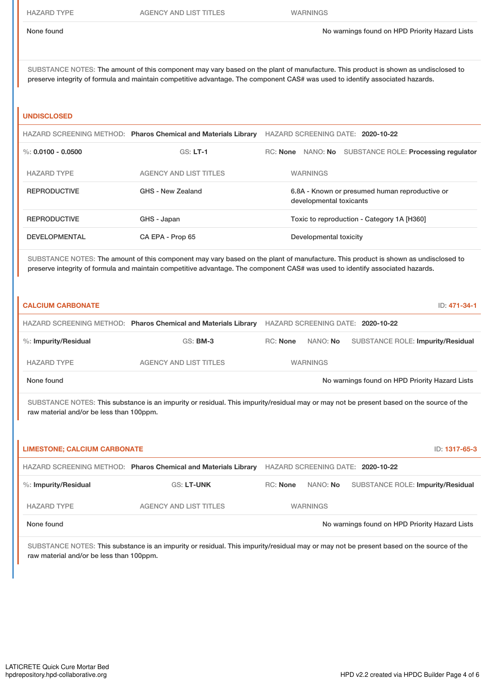SUBSTANCE NOTES: The amount of this component may vary based on the plant of manufacture. This product is shown as undisclosed to preserve integrity of formula and maintain competitive advantage. The component CAS# was used to identify associated hazards.

#### **UNDISCLOSED**

|                      | HAZARD SCREENING METHOD: Pharos Chemical and Materials Library | HAZARD SCREENING DATE: 2020-10-22                                         |  |  |
|----------------------|----------------------------------------------------------------|---------------------------------------------------------------------------|--|--|
| %: $0.0100 - 0.0500$ | $GS: LT-1$                                                     | NANO: No SUBSTANCE ROLE: Processing regulator<br>RC: None                 |  |  |
| <b>HAZARD TYPE</b>   | <b>AGENCY AND LIST TITLES</b>                                  | <b>WARNINGS</b>                                                           |  |  |
| <b>REPRODUCTIVE</b>  | GHS - New Zealand                                              | 6.8A - Known or presumed human reproductive or<br>developmental toxicants |  |  |
| <b>REPRODUCTIVE</b>  | GHS - Japan                                                    | Toxic to reproduction - Category 1A [H360]                                |  |  |
| <b>DEVELOPMENTAL</b> | CA EPA - Prop 65                                               | Developmental toxicity                                                    |  |  |

SUBSTANCE NOTES: The amount of this component may vary based on the plant of manufacture. This product is shown as undisclosed to preserve integrity of formula and maintain competitive advantage. The component CAS# was used to identify associated hazards.

| <b>CALCIUM CARBONATE</b>                 |                                                                                                                                         |                 |                 | ID: 471-34-1                                   |
|------------------------------------------|-----------------------------------------------------------------------------------------------------------------------------------------|-----------------|-----------------|------------------------------------------------|
|                                          | HAZARD SCREENING METHOD: Pharos Chemical and Materials Library                                                                          |                 |                 | HAZARD SCREENING DATE: 2020-10-22              |
| %: Impurity/Residual                     | <b>GS: BM-3</b>                                                                                                                         | RC: None        | NANO: No        | <b>SUBSTANCE ROLE: Impurity/Residual</b>       |
| <b>HAZARD TYPE</b>                       | <b>AGENCY AND LIST TITLES</b>                                                                                                           |                 | <b>WARNINGS</b> |                                                |
| None found                               |                                                                                                                                         |                 |                 | No warnings found on HPD Priority Hazard Lists |
| raw material and/or be less than 100ppm. | SUBSTANCE NOTES: This substance is an impurity or residual. This impurity/residual may or may not be present based on the source of the |                 |                 |                                                |
| <b>LIMESTONE: CALCIUM CARBONATE</b>      |                                                                                                                                         |                 |                 | ID: 1317-65-3                                  |
|                                          | HAZARD SCREENING METHOD: Pharos Chemical and Materials Library                                                                          |                 |                 | HAZARD SCREENING DATE: 2020-10-22              |
| %: Impurity/Residual                     | <b>GS: LT-UNK</b>                                                                                                                       | <b>RC:</b> None | NANO: No        | <b>SUBSTANCE ROLE: Impurity/Residual</b>       |
| <b>HAZARD TYPE</b>                       | <b>AGENCY AND LIST TITLES</b>                                                                                                           |                 | <b>WARNINGS</b> |                                                |
| None found                               |                                                                                                                                         |                 |                 | No warnings found on HPD Priority Hazard Lists |

SUBSTANCE NOTES: This substance is an impurity or residual. This impurity/residual may or may not be present based on the source of the raw material and/or be less than 100ppm.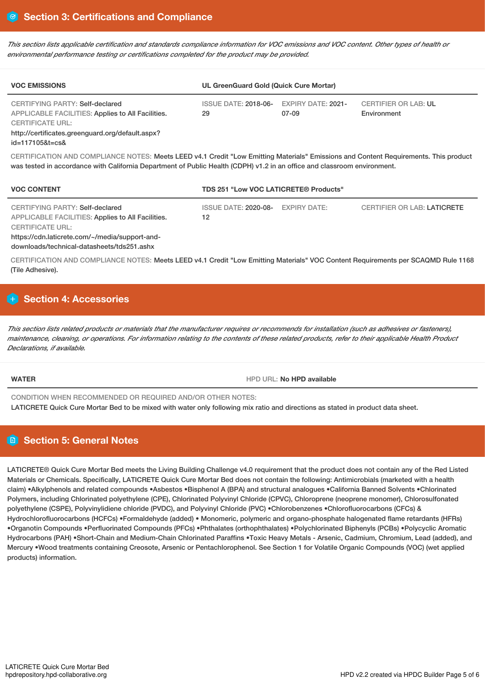This section lists applicable certification and standards compliance information for VOC emissions and VOC content. Other types of health or *environmental performance testing or certifications completed for the product may be provided.*

| <b>VOC EMISSIONS</b>                                                                                                                                                       | UL GreenGuard Gold (Quick Cure Mortar) |                                    |                                            |  |
|----------------------------------------------------------------------------------------------------------------------------------------------------------------------------|----------------------------------------|------------------------------------|--------------------------------------------|--|
| CERTIFYING PARTY: Self-declared<br><b>APPLICABLE FACILITIES: Applies to All Facilities.</b><br><b>CERTIFICATE URL:</b><br>http://certificates.greenguard.org/default.aspx? | <b>ISSUE DATE: 2018-06-</b><br>29      | <b>EXPIRY DATE: 2021-</b><br>07-09 | <b>CERTIFIER OR LAB: UL</b><br>Environment |  |

#### id=117105&t=cs&

CERTIFICATION AND COMPLIANCE NOTES: Meets LEED v4.1 Credit "Low Emitting Materials" Emissions and Content Requirements. This product was tested in accordance with California Department of Public Health (CDPH) v1.2 in an office and classroom environment.

| <b>VOC CONTENT</b>                                                                                                                                                                                                     | <b>TDS 251 "Low VOC LATICRETE® Products"</b> |  |                                    |  |
|------------------------------------------------------------------------------------------------------------------------------------------------------------------------------------------------------------------------|----------------------------------------------|--|------------------------------------|--|
| <b>CERTIFYING PARTY: Self-declared</b><br>APPLICABLE FACILITIES: Applies to All Facilities.<br><b>CERTIFICATE URL:</b><br>https://cdn.laticrete.com/~/media/support-and-<br>downloads/technical-datasheets/tds251.ashx | ISSUE DATE: 2020-08- EXPIRY DATE:<br>12      |  | <b>CERTIFIER OR LAB: LATICRETE</b> |  |

CERTIFICATION AND COMPLIANCE NOTES: Meets LEED v4.1 Credit "Low Emitting Materials" VOC Content Requirements per SCAQMD Rule 1168 (Tile Adhesive).

# **H** Section 4: Accessories

This section lists related products or materials that the manufacturer requires or recommends for installation (such as adhesives or fasteners), maintenance, cleaning, or operations. For information relating to the contents of these related products, refer to their applicable Health Product *Declarations, if available.*

**WATER WATER HPD AVAIL: No HPD** available

CONDITION WHEN RECOMMENDED OR REQUIRED AND/OR OTHER NOTES: LATICRETE Quick Cure Mortar Bed to be mixed with water only following mix ratio and directions as stated in product data sheet.

# **Section 5: General Notes**

LATICRETE® Quick Cure Mortar Bed meets the Living Building Challenge v4.0 requirement that the product does not contain any of the Red Listed Materials or Chemicals. Specifically, LATICRETE Quick Cure Mortar Bed does not contain the following: Antimicrobials (marketed with a health claim) •Alkylphenols and related compounds •Asbestos •Bisphenol A (BPA) and structural analogues •California Banned Solvents •Chlorinated Polymers, including Chlorinated polyethylene (CPE), Chlorinated Polyvinyl Chloride (CPVC), Chloroprene (neoprene monomer), Chlorosulfonated polyethylene (CSPE), Polyvinylidiene chloride (PVDC), and Polyvinyl Chloride (PVC) •Chlorobenzenes •Chlorofluorocarbons (CFCs) & Hydrochlorofluorocarbons (HCFCs) •Formaldehyde (added) • Monomeric, polymeric and organo-phosphate halogenated flame retardants (HFRs) •Organotin Compounds •Perfluorinated Compounds (PFCs) •Phthalates (orthophthalates) •Polychlorinated Biphenyls (PCBs) •Polycyclic Aromatic Hydrocarbons (PAH) •Short-Chain and Medium-Chain Chlorinated Paraffins •Toxic Heavy Metals - Arsenic, Cadmium, Chromium, Lead (added), and Mercury •Wood treatments containing Creosote, Arsenic or Pentachlorophenol. See Section 1 for Volatile Organic Compounds (VOC) (wet applied products) information.